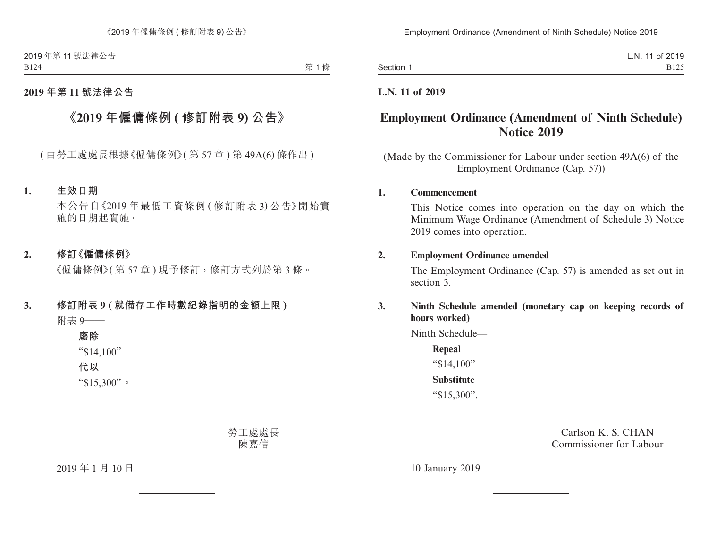2019 年第 11 號法律公告 B124

### **2019 年第 11 號法律公告**

# **《2019 年僱傭條例 ( 修訂附表 9) 公告》**

( 由勞工處處長根據《僱傭條例》( 第 57 章 ) 第 49A(6) 條作出 )

#### **1. 生效日期**

本公告自《2019 年最低工資條例 ( 修訂附表 3) 公告》開始實 施的日期起實施。

#### **2. 修訂《僱傭條例》**

《僱傭條例》( 第 57 章 ) 現予修訂,修訂方式列於第 3 條。

## **3. 修訂附表 9 ( 就備存工作時數紀錄指明的金額上限 )** 附表 9——

**廢除** "\$14,100" **代以** "\$15,300"。

> 勞工處處長 陳嘉信

2019 年 1 月 10 日